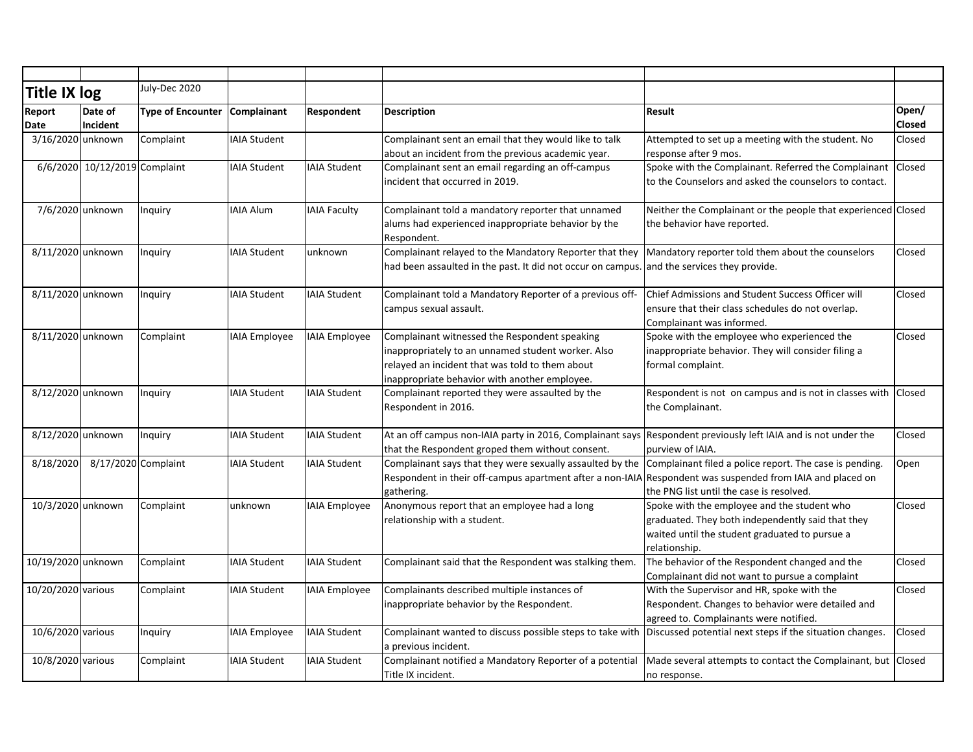| Title IX log       |                               | July-Dec 2020            |                      |                      |                                                                                                                                                                                                         |                                                                                                                                                                     |                 |
|--------------------|-------------------------------|--------------------------|----------------------|----------------------|---------------------------------------------------------------------------------------------------------------------------------------------------------------------------------------------------------|---------------------------------------------------------------------------------------------------------------------------------------------------------------------|-----------------|
| Report<br>Date     | Date of<br>Incident           | <b>Type of Encounter</b> | Complainant          | Respondent           | <b>Description</b>                                                                                                                                                                                      | Result                                                                                                                                                              | Open/<br>Closed |
| 3/16/2020 unknown  |                               | Complaint                | <b>IAIA Student</b>  |                      | Complainant sent an email that they would like to talk<br>about an incident from the previous academic year.                                                                                            | Attempted to set up a meeting with the student. No<br>response after 9 mos.                                                                                         | Closed          |
|                    | 6/6/2020 10/12/2019 Complaint |                          | <b>IAIA Student</b>  | <b>IAIA Student</b>  | Complainant sent an email regarding an off-campus<br>incident that occurred in 2019.                                                                                                                    | Spoke with the Complainant. Referred the Complainant<br>to the Counselors and asked the counselors to contact.                                                      | Closed          |
| 7/6/2020 unknown   |                               | Inquiry                  | <b>IAIA Alum</b>     | <b>IAIA Faculty</b>  | Complainant told a mandatory reporter that unnamed<br>alums had experienced inappropriate behavior by the<br>Respondent.                                                                                | Neither the Complainant or the people that experienced Closed<br>the behavior have reported.                                                                        |                 |
| 8/11/2020 unknown  |                               | Inquiry                  | <b>IAIA Student</b>  | unknown              | Complainant relayed to the Mandatory Reporter that they<br>had been assaulted in the past. It did not occur on campus.                                                                                  | Mandatory reporter told them about the counselors<br>and the services they provide.                                                                                 | Closed          |
| 8/11/2020 unknown  |                               | Inquiry                  | <b>IAIA Student</b>  | <b>IAIA Student</b>  | Complainant told a Mandatory Reporter of a previous off-<br>campus sexual assault.                                                                                                                      | Chief Admissions and Student Success Officer will<br>ensure that their class schedules do not overlap.<br>Complainant was informed.                                 | Closed          |
| 8/11/2020 unknown  |                               | Complaint                | <b>IAIA Employee</b> | <b>IAIA</b> Employee | Complainant witnessed the Respondent speaking<br>inappropriately to an unnamed student worker. Also<br>relayed an incident that was told to them about<br>inappropriate behavior with another employee. | Spoke with the employee who experienced the<br>inappropriate behavior. They will consider filing a<br>formal complaint.                                             | Closed          |
| 8/12/2020 unknown  |                               | Inquiry                  | <b>IAIA Student</b>  | <b>IAIA Student</b>  | Complainant reported they were assaulted by the<br>Respondent in 2016.                                                                                                                                  | Respondent is not on campus and is not in classes with<br>the Complainant.                                                                                          | <b>Closed</b>   |
| 8/12/2020 unknown  |                               | Inquiry                  | <b>IAIA Student</b>  | <b>IAIA Student</b>  | At an off campus non-IAIA party in 2016, Complainant says<br>that the Respondent groped them without consent.                                                                                           | Respondent previously left IAIA and is not under the<br>purview of IAIA.                                                                                            | Closed          |
| 8/18/2020          | 8/17/2020 Complaint           |                          | <b>IAIA Student</b>  | <b>IAIA Student</b>  | Complainant says that they were sexually assaulted by the<br>Respondent in their off-campus apartment after a non-IAIA<br>gathering.                                                                    | Complainant filed a police report. The case is pending.<br>Respondent was suspended from IAIA and placed on<br>the PNG list until the case is resolved.             | Open            |
| 10/3/2020 unknown  |                               | Complaint                | unknown              | <b>IAIA</b> Employee | Anonymous report that an employee had a long<br>relationship with a student.                                                                                                                            | Spoke with the employee and the student who<br>graduated. They both independently said that they<br>waited until the student graduated to pursue a<br>relationship. | Closed          |
| 10/19/2020 unknown |                               | Complaint                | <b>IAIA Student</b>  | <b>IAIA Student</b>  | Complainant said that the Respondent was stalking them.                                                                                                                                                 | The behavior of the Respondent changed and the<br>Complainant did not want to pursue a complaint                                                                    | Closed          |
| 10/20/2020 various |                               | Complaint                | <b>IAIA Student</b>  | <b>IAIA Employee</b> | Complainants described multiple instances of<br>inappropriate behavior by the Respondent.                                                                                                               | With the Supervisor and HR, spoke with the<br>Respondent. Changes to behavior were detailed and<br>agreed to. Complainants were notified.                           | Closed          |
| 10/6/2020 various  |                               | Inquiry                  | <b>IAIA Employee</b> | IAIA Student         | Complainant wanted to discuss possible steps to take with Discussed potential next steps if the situation changes.<br>a previous incident.                                                              |                                                                                                                                                                     | Closed          |
| 10/8/2020 various  |                               | Complaint                | <b>IAIA Student</b>  | <b>IAIA Student</b>  | Complainant notified a Mandatory Reporter of a potential<br>Title IX incident.                                                                                                                          | Made several attempts to contact the Complainant, but   Closed<br>no response.                                                                                      |                 |